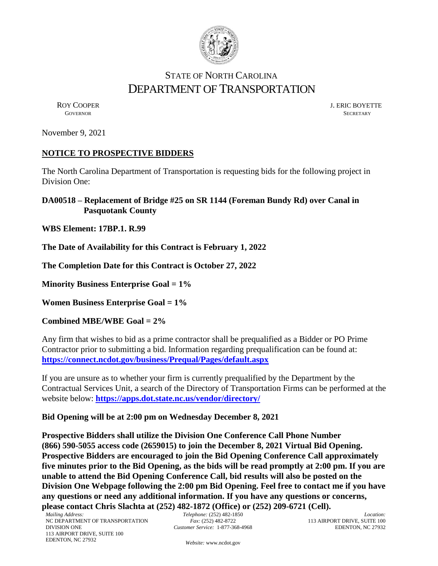

## STATE OF NORTH CAROLINA DEPARTMENT OF TRANSPORTATION

ROY COOPER J. ERIC BOYETTE GOVERNOR SECRETARY SECRETARY **GOVERNOR** SECRETARY

November 9, 2021

## **NOTICE TO PROSPECTIVE BIDDERS**

The North Carolina Department of Transportation is requesting bids for the following project in Division One:

**DA00518 – Replacement of Bridge #25 on SR 1144 (Foreman Bundy Rd) over Canal in Pasquotank County**

**WBS Element: 17BP.1. R.99**

**The Date of Availability for this Contract is February 1, 2022**

**The Completion Date for this Contract is October 27, 2022**

**Minority Business Enterprise Goal = 1%** 

**Women Business Enterprise Goal = 1%**

**Combined MBE/WBE Goal = 2%**

Any firm that wishes to bid as a prime contractor shall be prequalified as a Bidder or PO Prime Contractor prior to submitting a bid. Information regarding prequalification can be found at: **<https://connect.ncdot.gov/business/Prequal/Pages/default.aspx>**

If you are unsure as to whether your firm is currently prequalified by the Department by the Contractual Services Unit, a search of the Directory of Transportation Firms can be performed at the website below: **<https://apps.dot.state.nc.us/vendor/directory/>**

## **Bid Opening will be at 2:00 pm on Wednesday December 8, 2021**

**Prospective Bidders shall utilize the Division One Conference Call Phone Number (866) 590-5055 access code (2659015) to join the December 8, 2021 Virtual Bid Opening. Prospective Bidders are encouraged to join the Bid Opening Conference Call approximately five minutes prior to the Bid Opening, as the bids will be read promptly at 2:00 pm. If you are unable to attend the Bid Opening Conference Call, bid results will also be posted on the Division One Webpage following the 2:00 pm Bid Opening. Feel free to contact me if you have any questions or need any additional information. If you have any questions or concerns, please contact Chris Slachta at (252) 482-1872 (Office) or (252) 209-6721 (Cell).**

*Telephone:* (252) 482-1850 *Fax:* (252) 482-8722 *Customer Service:* 1-877-368-4968